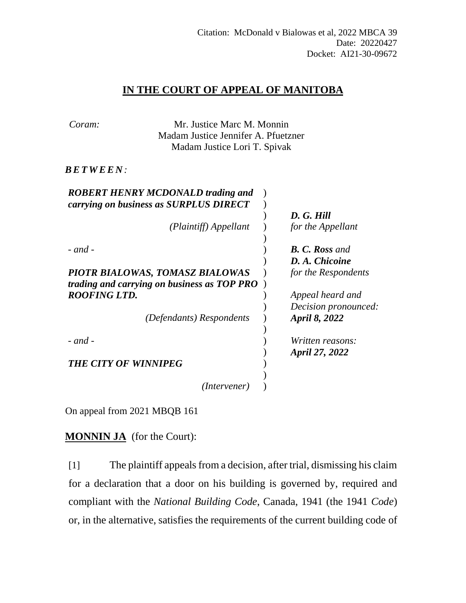## **IN THE COURT OF APPEAL OF MANITOBA**

| Coram:               | Mr. Justice Marc M. Monnin                  |                       |
|----------------------|---------------------------------------------|-----------------------|
|                      | Madam Justice Jennifer A. Pfuetzner         |                       |
|                      | Madam Justice Lori T. Spivak                |                       |
| <i>BETWEEN:</i>      |                                             |                       |
|                      | <b>ROBERT HENRY MCDONALD trading and</b>    |                       |
|                      | carrying on business as SURPLUS DIRECT      | D. G. Hill            |
|                      | (Plaintiff) Appellant                       | for the Appellant     |
|                      |                                             |                       |
| $-$ and $-$          |                                             | <b>B. C. Ross and</b> |
|                      |                                             | D. A. Chicoine        |
|                      | PIOTR BIALOWAS, TOMASZ BIALOWAS             | for the Respondents   |
|                      | trading and carrying on business as TOP PRO |                       |
| <b>ROOFING LTD.</b>  |                                             | Appeal heard and      |
|                      |                                             | Decision pronounced:  |
|                      | (Defendants) Respondents                    | April 8, 2022         |
| $-$ and $-$          |                                             | Written reasons:      |
|                      |                                             | April 27, 2022        |
| THE CITY OF WINNIPEG |                                             |                       |
|                      | (Intervener)                                |                       |

On appeal from 2021 MBQB 161

**MONNIN JA** (for the Court):

[1] The plaintiff appeals from a decision, after trial, dismissing his claim for a declaration that a door on his building is governed by, required and compliant with the *National Building Code*, Canada, 1941 (the 1941 *Code*) or, in the alternative, satisfies the requirements of the current building code of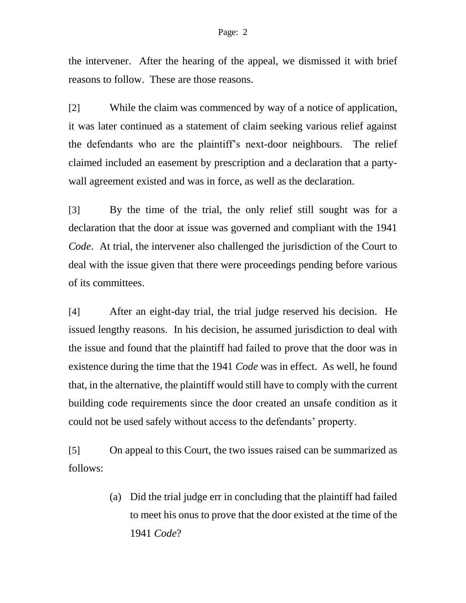## Page: 2

the intervener. After the hearing of the appeal, we dismissed it with brief reasons to follow. These are those reasons.

[2] While the claim was commenced by way of a notice of application, it was later continued as a statement of claim seeking various relief against the defendants who are the plaintiff's next-door neighbours. The relief claimed included an easement by prescription and a declaration that a partywall agreement existed and was in force, as well as the declaration.

[3] By the time of the trial, the only relief still sought was for a declaration that the door at issue was governed and compliant with the 1941 *Code*. At trial, the intervener also challenged the jurisdiction of the Court to deal with the issue given that there were proceedings pending before various of its committees.

[4] After an eight-day trial, the trial judge reserved his decision. He issued lengthy reasons. In his decision, he assumed jurisdiction to deal with the issue and found that the plaintiff had failed to prove that the door was in existence during the time that the 1941 *Code* was in effect. As well, he found that, in the alternative, the plaintiff would still have to comply with the current building code requirements since the door created an unsafe condition as it could not be used safely without access to the defendants' property.

[5] On appeal to this Court, the two issues raised can be summarized as follows:

> (a) Did the trial judge err in concluding that the plaintiff had failed to meet his onus to prove that the door existed at the time of the 1941 *Code*?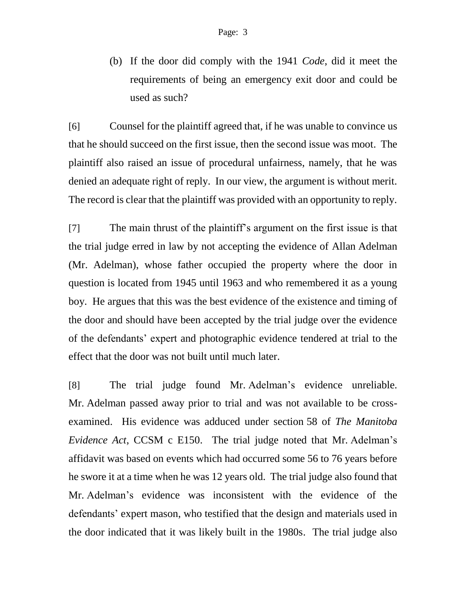(b) If the door did comply with the 1941 *Code*, did it meet the requirements of being an emergency exit door and could be used as such?

[6] Counsel for the plaintiff agreed that, if he was unable to convince us that he should succeed on the first issue, then the second issue was moot. The plaintiff also raised an issue of procedural unfairness, namely, that he was denied an adequate right of reply. In our view, the argument is without merit. The record is clear that the plaintiff was provided with an opportunity to reply.

[7] The main thrust of the plaintiff's argument on the first issue is that the trial judge erred in law by not accepting the evidence of Allan Adelman (Mr. Adelman), whose father occupied the property where the door in question is located from 1945 until 1963 and who remembered it as a young boy. He argues that this was the best evidence of the existence and timing of the door and should have been accepted by the trial judge over the evidence of the defendants' expert and photographic evidence tendered at trial to the effect that the door was not built until much later.

[8] The trial judge found Mr. Adelman's evidence unreliable. Mr. Adelman passed away prior to trial and was not available to be crossexamined. His evidence was adduced under section 58 of *The Manitoba Evidence Act*, CCSM c E150. The trial judge noted that Mr. Adelman's affidavit was based on events which had occurred some 56 to 76 years before he swore it at a time when he was 12 years old. The trial judge also found that Mr. Adelman's evidence was inconsistent with the evidence of the defendants' expert mason, who testified that the design and materials used in the door indicated that it was likely built in the 1980s. The trial judge also